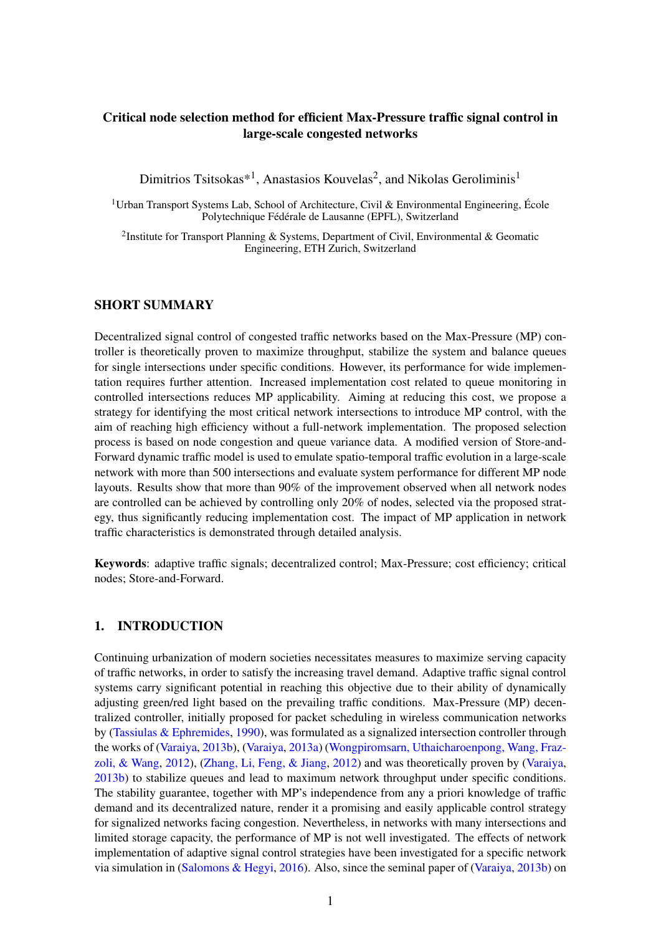# Critical node selection method for efficient Max-Pressure traffic signal control in large-scale congested networks

Dimitrios Tsitsokas\*<sup>1</sup>, Anastasios Kouvelas<sup>2</sup>, and Nikolas Geroliminis<sup>1</sup>

<sup>1</sup> Urban Transport Systems Lab, School of Architecture, Civil & Environmental Engineering, École Polytechnique Fédérale de Lausanne (EPFL), Switzerland

<sup>2</sup>Institute for Transport Planning & Systems, Department of Civil, Environmental & Geomatic Engineering, ETH Zurich, Switzerland

## SHORT SUMMARY

Decentralized signal control of congested traffic networks based on the Max-Pressure (MP) controller is theoretically proven to maximize throughput, stabilize the system and balance queues for single intersections under specific conditions. However, its performance for wide implementation requires further attention. Increased implementation cost related to queue monitoring in controlled intersections reduces MP applicability. Aiming at reducing this cost, we propose a strategy for identifying the most critical network intersections to introduce MP control, with the aim of reaching high efficiency without a full-network implementation. The proposed selection process is based on node congestion and queue variance data. A modified version of Store-and-Forward dynamic traffic model is used to emulate spatio-temporal traffic evolution in a large-scale network with more than 500 intersections and evaluate system performance for different MP node layouts. Results show that more than 90% of the improvement observed when all network nodes are controlled can be achieved by controlling only 20% of nodes, selected via the proposed strategy, thus significantly reducing implementation cost. The impact of MP application in network traffic characteristics is demonstrated through detailed analysis.

Keywords: adaptive traffic signals; decentralized control; Max-Pressure; cost efficiency; critical nodes; Store-and-Forward.

## 1. INTRODUCTION

Continuing urbanization of modern societies necessitates measures to maximize serving capacity of traffic networks, in order to satisfy the increasing travel demand. Adaptive traffic signal control systems carry significant potential in reaching this objective due to their ability of dynamically adjusting green/red light based on the prevailing traffic conditions. Max-Pressure (MP) decentralized controller, initially proposed for packet scheduling in wireless communication networks by [\(Tassiulas & Ephremides,](#page-11-0) [1990\)](#page-11-0), was formulated as a signalized intersection controller through the works of [\(Varaiya,](#page-11-1) [2013b\)](#page-11-1), [\(Varaiya,](#page-11-2) [2013a\)](#page-11-2) [\(Wongpiromsarn, Uthaicharoenpong, Wang, Fraz](#page-11-3)[zoli, & Wang,](#page-11-3) [2012\)](#page-11-3), [\(Zhang, Li, Feng, & Jiang,](#page-11-4) [2012\)](#page-11-4) and was theoretically proven by [\(Varaiya,](#page-11-1) [2013b\)](#page-11-1) to stabilize queues and lead to maximum network throughput under specific conditions. The stability guarantee, together with MP's independence from any a priori knowledge of traffic demand and its decentralized nature, render it a promising and easily applicable control strategy for signalized networks facing congestion. Nevertheless, in networks with many intersections and limited storage capacity, the performance of MP is not well investigated. The effects of network implementation of adaptive signal control strategies have been investigated for a specific network via simulation in [\(Salomons & Hegyi,](#page-11-5) [2016\)](#page-11-5). Also, since the seminal paper of [\(Varaiya,](#page-11-1) [2013b\)](#page-11-1) on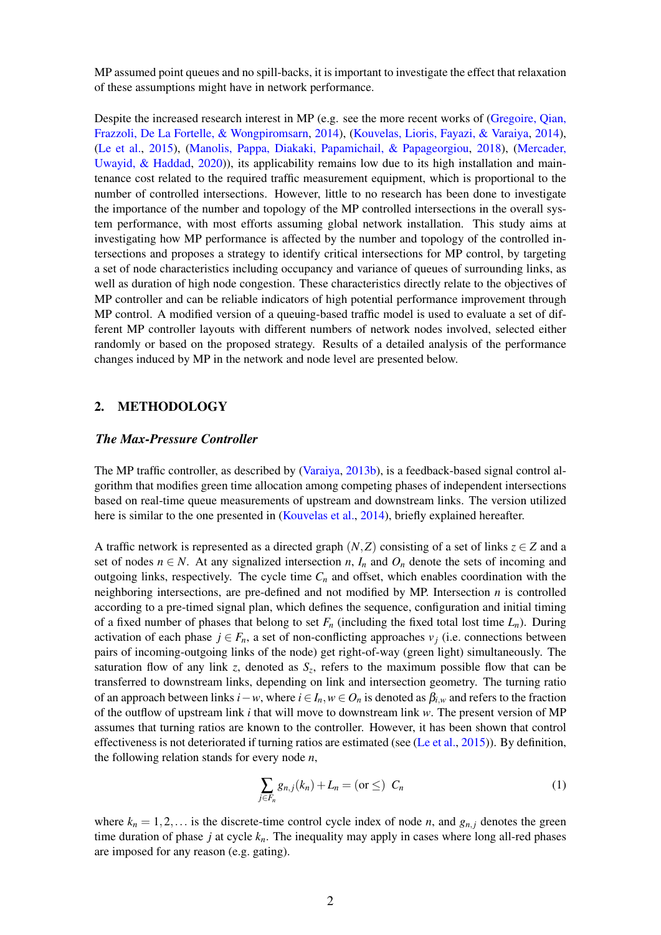MP assumed point queues and no spill-backs, it is important to investigate the effect that relaxation of these assumptions might have in network performance.

Despite the increased research interest in MP (e.g. see the more recent works of [\(Gregoire, Qian,](#page-11-6) [Frazzoli, De La Fortelle, & Wongpiromsarn,](#page-11-6) [2014\)](#page-11-6), [\(Kouvelas, Lioris, Fayazi, & Varaiya,](#page-11-7) [2014\)](#page-11-7), [\(Le et al.,](#page-11-8) [2015\)](#page-11-8), [\(Manolis, Pappa, Diakaki, Papamichail, & Papageorgiou,](#page-11-9) [2018\)](#page-11-9), [\(Mercader,](#page-11-10) [Uwayid, & Haddad,](#page-11-10) [2020\)](#page-11-10)), its applicability remains low due to its high installation and maintenance cost related to the required traffic measurement equipment, which is proportional to the number of controlled intersections. However, little to no research has been done to investigate the importance of the number and topology of the MP controlled intersections in the overall system performance, with most efforts assuming global network installation. This study aims at investigating how MP performance is affected by the number and topology of the controlled intersections and proposes a strategy to identify critical intersections for MP control, by targeting a set of node characteristics including occupancy and variance of queues of surrounding links, as well as duration of high node congestion. These characteristics directly relate to the objectives of MP controller and can be reliable indicators of high potential performance improvement through MP control. A modified version of a queuing-based traffic model is used to evaluate a set of different MP controller layouts with different numbers of network nodes involved, selected either randomly or based on the proposed strategy. Results of a detailed analysis of the performance changes induced by MP in the network and node level are presented below.

## 2. METHODOLOGY

#### *The Max-Pressure Controller*

The MP traffic controller, as described by [\(Varaiya,](#page-11-1) [2013b\)](#page-11-1), is a feedback-based signal control algorithm that modifies green time allocation among competing phases of independent intersections based on real-time queue measurements of upstream and downstream links. The version utilized here is similar to the one presented in [\(Kouvelas et al.,](#page-11-7) [2014\)](#page-11-7), briefly explained hereafter.

A traffic network is represented as a directed graph  $(N, Z)$  consisting of a set of links  $z \in Z$  and a set of nodes  $n \in N$ . At any signalized intersection *n*,  $I_n$  and  $O_n$  denote the sets of incoming and outgoing links, respectively. The cycle time  $C<sub>n</sub>$  and offset, which enables coordination with the neighboring intersections, are pre-defined and not modified by MP. Intersection *n* is controlled according to a pre-timed signal plan, which defines the sequence, configuration and initial timing of a fixed number of phases that belong to set  $F_n$  (including the fixed total lost time  $L_n$ ). During activation of each phase  $j \in F_n$ , a set of non-conflicting approaches  $v_j$  (i.e. connections between pairs of incoming-outgoing links of the node) get right-of-way (green light) simultaneously. The saturation flow of any link *z*, denoted as  $S_z$ , refers to the maximum possible flow that can be transferred to downstream links, depending on link and intersection geometry. The turning ratio of an approach between links  $i - w$ , where  $i \in I_n$ ,  $w \in O_n$  is denoted as  $\beta_{i,w}$  and refers to the fraction of the outflow of upstream link *i* that will move to downstream link *w*. The present version of MP assumes that turning ratios are known to the controller. However, it has been shown that control effectiveness is not deteriorated if turning ratios are estimated (see [\(Le et al.,](#page-11-8) [2015\)](#page-11-8)). By definition, the following relation stands for every node *n*,

<span id="page-1-0"></span>
$$
\sum_{j \in F_n} g_{n,j}(k_n) + L_n = \text{(or } \leq) \ \ C_n \tag{1}
$$

where  $k_n = 1, 2, \ldots$  is the discrete-time control cycle index of node *n*, and  $g_{n,j}$  denotes the green time duration of phase *j* at cycle *kn*. The inequality may apply in cases where long all-red phases are imposed for any reason (e.g. gating).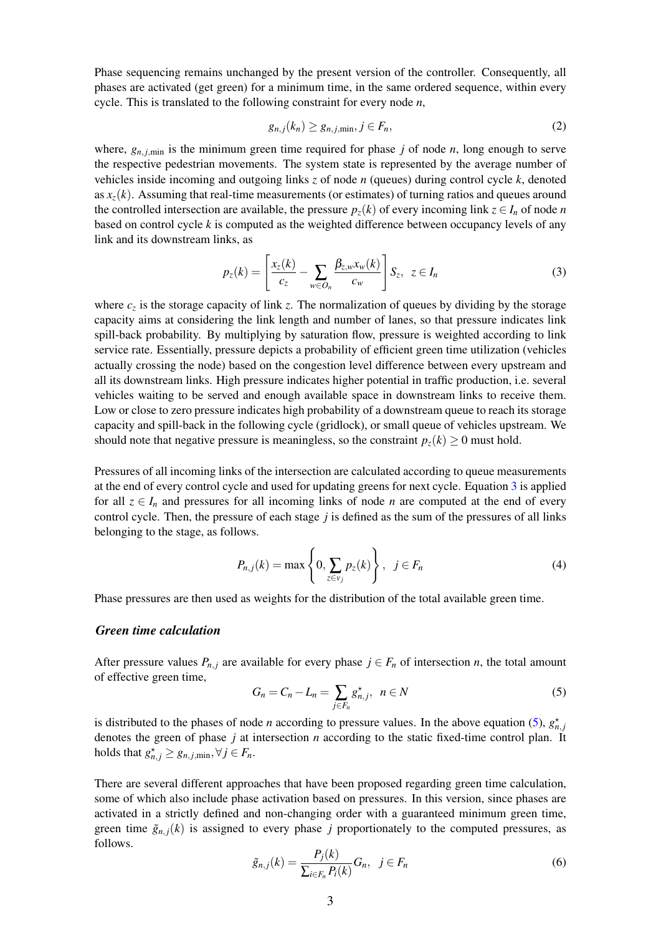Phase sequencing remains unchanged by the present version of the controller. Consequently, all phases are activated (get green) for a minimum time, in the same ordered sequence, within every cycle. This is translated to the following constraint for every node *n*,

<span id="page-2-3"></span>
$$
g_{n,j}(k_n) \ge g_{n,j,\min}, j \in F_n,\tag{2}
$$

where,  $g_{n,i,\text{min}}$  is the minimum green time required for phase *j* of node *n*, long enough to serve the respective pedestrian movements. The system state is represented by the average number of vehicles inside incoming and outgoing links *z* of node *n* (queues) during control cycle *k*, denoted as  $x<sub>z</sub>(k)$ . Assuming that real-time measurements (or estimates) of turning ratios and queues around the controlled intersection are available, the pressure  $p_z(k)$  of every incoming link  $z \in I_n$  of node *n* based on control cycle *k* is computed as the weighted difference between occupancy levels of any link and its downstream links, as

<span id="page-2-0"></span>
$$
p_z(k) = \left[\frac{x_z(k)}{c_z} - \sum_{w \in O_n} \frac{\beta_{z,w} x_w(k)}{c_w}\right] S_z, \ z \in I_n \tag{3}
$$

where  $c_z$  is the storage capacity of link  $z$ . The normalization of queues by dividing by the storage capacity aims at considering the link length and number of lanes, so that pressure indicates link spill-back probability. By multiplying by saturation flow, pressure is weighted according to link service rate. Essentially, pressure depicts a probability of efficient green time utilization (vehicles actually crossing the node) based on the congestion level difference between every upstream and all its downstream links. High pressure indicates higher potential in traffic production, i.e. several vehicles waiting to be served and enough available space in downstream links to receive them. Low or close to zero pressure indicates high probability of a downstream queue to reach its storage capacity and spill-back in the following cycle (gridlock), or small queue of vehicles upstream. We should note that negative pressure is meaningless, so the constraint  $p_z(k) \geq 0$  must hold.

Pressures of all incoming links of the intersection are calculated according to queue measurements at the end of every control cycle and used for updating greens for next cycle. Equation [3](#page-2-0) is applied for all  $z \in I_n$  and pressures for all incoming links of node *n* are computed at the end of every control cycle. Then, the pressure of each stage *j* is defined as the sum of the pressures of all links belonging to the stage, as follows.

$$
P_{n,j}(k) = \max\left\{0, \sum_{z \in v_j} p_z(k)\right\}, \quad j \in F_n \tag{4}
$$

Phase pressures are then used as weights for the distribution of the total available green time.

### *Green time calculation*

After pressure values  $P_{n,i}$  are available for every phase  $j \in F_n$  of intersection *n*, the total amount of effective green time,

<span id="page-2-1"></span>
$$
G_n = C_n - L_n = \sum_{j \in F_n} g_{n,j}^{\star}, \ \ n \in N \tag{5}
$$

is distributed to the phases of node *n* according to pressure values. In the above equation [\(5\)](#page-2-1),  $g_{n,j}^{\star}$ denotes the green of phase *j* at intersection *n* according to the static fixed-time control plan. It holds that  $g_{n,j}^{\star} \geq g_{n,j,\text{min}}, \forall j \in F_n$ .

There are several different approaches that have been proposed regarding green time calculation, some of which also include phase activation based on pressures. In this version, since phases are activated in a strictly defined and non-changing order with a guaranteed minimum green time, green time  $\tilde{g}_{n,i}(k)$  is assigned to every phase *j* proportionately to the computed pressures, as follows.

<span id="page-2-2"></span>
$$
\tilde{g}_{n,j}(k) = \frac{P_j(k)}{\sum_{i \in F_n} P_i(k)} G_n, \quad j \in F_n \tag{6}
$$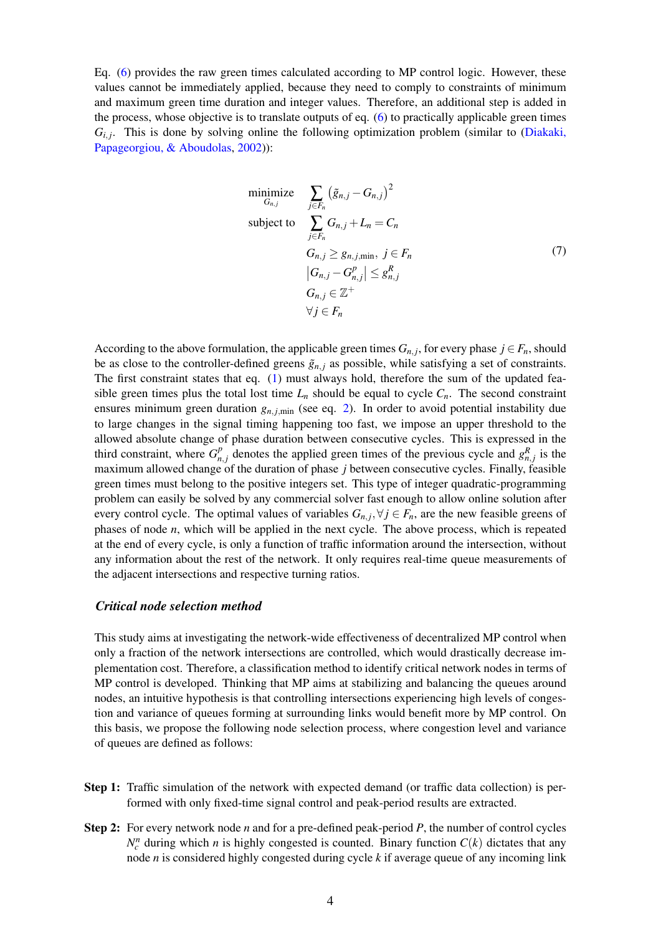Eq. [\(6\)](#page-2-2) provides the raw green times calculated according to MP control logic. However, these values cannot be immediately applied, because they need to comply to constraints of minimum and maximum green time duration and integer values. Therefore, an additional step is added in the process, whose objective is to translate outputs of eq. [\(6\)](#page-2-2) to practically applicable green times  $G_{i,j}$ . This is done by solving online the following optimization problem (similar to [\(Diakaki,](#page-11-11) [Papageorgiou, & Aboudolas,](#page-11-11) [2002\)](#page-11-11)):

$$
\begin{array}{ll}\n\text{minimize} & \sum_{j \in F_n} \left( \tilde{g}_{n,j} - G_{n,j} \right)^2 \\
\text{subject to} & \sum_{j \in F_n} G_{n,j} + L_n = C_n \\
& G_{n,j} \ge g_{n,j,\text{min}}, \ j \in F_n \\
& |G_{n,j} - G_{n,j}^p| \le g_{n,j}^R \\
& G_{n,j} \in \mathbb{Z}^+ \\
& \forall j \in F_n\n\end{array} \tag{7}
$$

According to the above formulation, the applicable green times  $G_{n,j}$ , for every phase  $j \in F_n$ , should be as close to the controller-defined greens  $\tilde{g}_{n,j}$  as possible, while satisfying a set of constraints. The first constraint states that eq. [\(1\)](#page-1-0) must always hold, therefore the sum of the updated feasible green times plus the total lost time  $L_n$  should be equal to cycle  $C_n$ . The second constraint ensures minimum green duration  $g_{n,i,\text{min}}$  (see eq. [2\)](#page-2-3). In order to avoid potential instability due to large changes in the signal timing happening too fast, we impose an upper threshold to the allowed absolute change of phase duration between consecutive cycles. This is expressed in the third constraint, where  $G_n^p$  $P_{n,j}$  denotes the applied green times of the previous cycle and  $g_{n,j}^R$  is the maximum allowed change of the duration of phase *j* between consecutive cycles. Finally, feasible green times must belong to the positive integers set. This type of integer quadratic-programming problem can easily be solved by any commercial solver fast enough to allow online solution after every control cycle. The optimal values of variables  $G_{n,j}$ ,  $\forall j \in F_n$ , are the new feasible greens of phases of node *n*, which will be applied in the next cycle. The above process, which is repeated at the end of every cycle, is only a function of traffic information around the intersection, without any information about the rest of the network. It only requires real-time queue measurements of the adjacent intersections and respective turning ratios.

#### *Critical node selection method*

This study aims at investigating the network-wide effectiveness of decentralized MP control when only a fraction of the network intersections are controlled, which would drastically decrease implementation cost. Therefore, a classification method to identify critical network nodes in terms of MP control is developed. Thinking that MP aims at stabilizing and balancing the queues around nodes, an intuitive hypothesis is that controlling intersections experiencing high levels of congestion and variance of queues forming at surrounding links would benefit more by MP control. On this basis, we propose the following node selection process, where congestion level and variance of queues are defined as follows:

- Step 1: Traffic simulation of the network with expected demand (or traffic data collection) is performed with only fixed-time signal control and peak-period results are extracted.
- Step 2: For every network node *n* and for a pre-defined peak-period *P*, the number of control cycles  $N_c^n$  during which *n* is highly congested is counted. Binary function  $C(k)$  dictates that any node *n* is considered highly congested during cycle *k* if average queue of any incoming link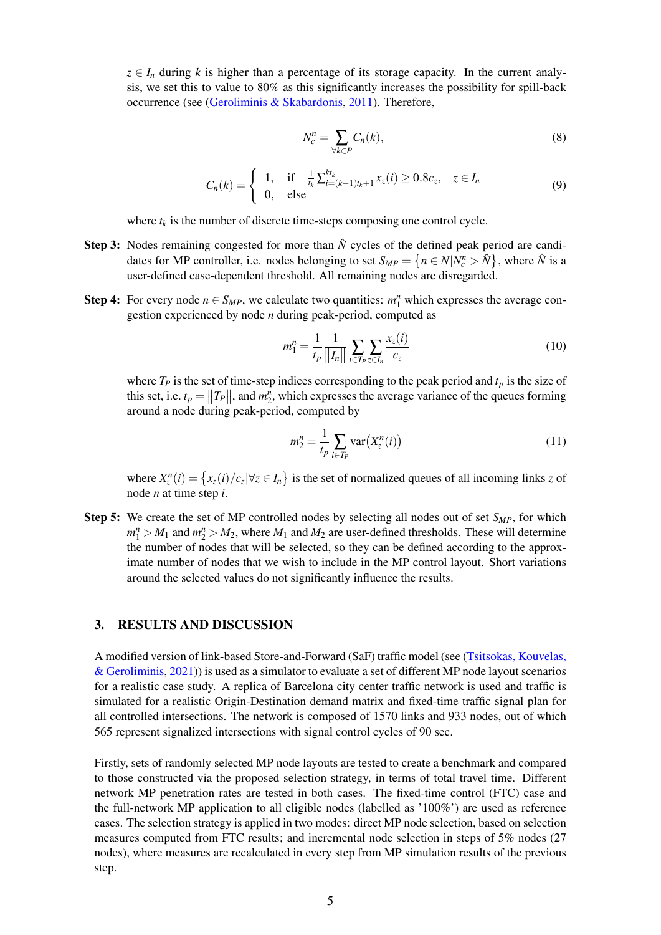$z \in I_n$  during *k* is higher than a percentage of its storage capacity. In the current analysis, we set this to value to 80% as this significantly increases the possibility for spill-back occurrence (see [\(Geroliminis & Skabardonis,](#page-11-12) [2011\)](#page-11-12). Therefore,

$$
N_c^n = \sum_{\forall k \in P} C_n(k),\tag{8}
$$

$$
C_n(k) = \begin{cases} 1, & \text{if } \frac{1}{t_k} \sum_{i=(k-1)t_k+1}^{kt_k} x_i(i) \ge 0.8c_z, & z \in I_n \\ 0, & \text{else} \end{cases}
$$
(9)

where  $t_k$  is the number of discrete time-steps composing one control cycle.

- Step 3: Nodes remaining congested for more than  $\hat{N}$  cycles of the defined peak period are candidates for MP controller, i.e. nodes belonging to set  $S_{MP} = \{ n \in N | N_c^n > \hat{N} \}$ , where  $\hat{N}$  is a user-defined case-dependent threshold. All remaining nodes are disregarded.
- Step 4: For every node  $n \in S_{MP}$ , we calculate two quantities:  $m_1^n$  which expresses the average congestion experienced by node *n* during peak-period, computed as

$$
m_1^n = \frac{1}{t_p} \frac{1}{\|I_n\|} \sum_{i \in T_p} \sum_{z \in I_n} \frac{x_z(i)}{c_z} \tag{10}
$$

where  $T_P$  is the set of time-step indices corresponding to the peak period and  $t_p$  is the size of this set, i.e.  $t_p = ||T_P||$ , and  $m_2^n$ , which expresses the average variance of the queues forming around a node during peak-period, computed by

$$
m_2^n = \frac{1}{t_p} \sum_{i \in T_p} \text{var}\big(X_z^n(i)\big) \tag{11}
$$

where  $X_{z}^{n}(i) = \{x_{z}(i)/c_{z} | \forall z \in I_{n}\}\$  is the set of normalized queues of all incoming links *z* of node *n* at time step *i*.

Step 5: We create the set of MP controlled nodes by selecting all nodes out of set *SMP*, for which  $m_1^n > M_1$  and  $m_2^n > M_2$ , where  $M_1$  and  $M_2$  are user-defined thresholds. These will determine the number of nodes that will be selected, so they can be defined according to the approximate number of nodes that we wish to include in the MP control layout. Short variations around the selected values do not significantly influence the results.

### 3. RESULTS AND DISCUSSION

A modified version of link-based Store-and-Forward (SaF) traffic model (see [\(Tsitsokas, Kouvelas,](#page-11-13)  $\&$  Geroliminis, [2021\)](#page-11-13) is used as a simulator to evaluate a set of different MP node layout scenarios for a realistic case study. A replica of Barcelona city center traffic network is used and traffic is simulated for a realistic Origin-Destination demand matrix and fixed-time traffic signal plan for all controlled intersections. The network is composed of 1570 links and 933 nodes, out of which 565 represent signalized intersections with signal control cycles of 90 sec.

Firstly, sets of randomly selected MP node layouts are tested to create a benchmark and compared to those constructed via the proposed selection strategy, in terms of total travel time. Different network MP penetration rates are tested in both cases. The fixed-time control (FTC) case and the full-network MP application to all eligible nodes (labelled as '100%') are used as reference cases. The selection strategy is applied in two modes: direct MP node selection, based on selection measures computed from FTC results; and incremental node selection in steps of 5% nodes (27 nodes), where measures are recalculated in every step from MP simulation results of the previous step.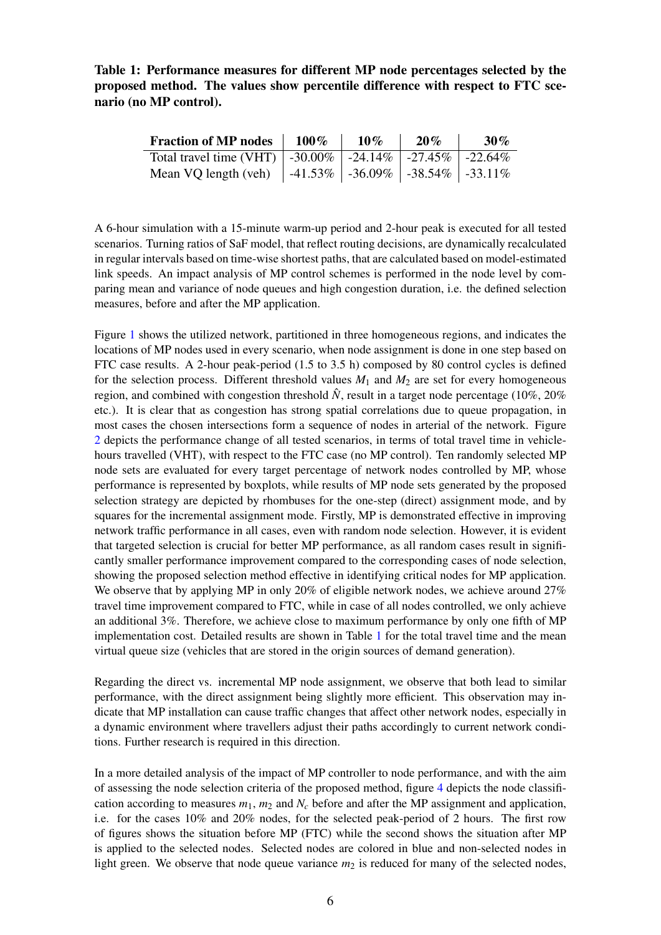<span id="page-5-0"></span>Table 1: Performance measures for different MP node percentages selected by the proposed method. The values show percentile difference with respect to FTC scenario (no MP control).

| <b>Fraction of MP nodes</b>                                     | $100\%$ | $10\%$ | 20% | $30\%$ |
|-----------------------------------------------------------------|---------|--------|-----|--------|
| Total travel time (VHT)   -30.00%   -24.14%   -27.45%   -22.64% |         |        |     |        |
| Mean VQ length (veh)   -41.53%   -36.09%   -38.54%   -33.11%    |         |        |     |        |

A 6-hour simulation with a 15-minute warm-up period and 2-hour peak is executed for all tested scenarios. Turning ratios of SaF model, that reflect routing decisions, are dynamically recalculated in regular intervals based on time-wise shortest paths, that are calculated based on model-estimated link speeds. An impact analysis of MP control schemes is performed in the node level by comparing mean and variance of node queues and high congestion duration, i.e. the defined selection measures, before and after the MP application.

Figure [1](#page-6-0) shows the utilized network, partitioned in three homogeneous regions, and indicates the locations of MP nodes used in every scenario, when node assignment is done in one step based on FTC case results. A 2-hour peak-period (1.5 to 3.5 h) composed by 80 control cycles is defined for the selection process. Different threshold values  $M_1$  and  $M_2$  are set for every homogeneous region, and combined with congestion threshold  $\hat{N}$ , result in a target node percentage (10%, 20%) etc.). It is clear that as congestion has strong spatial correlations due to queue propagation, in most cases the chosen intersections form a sequence of nodes in arterial of the network. Figure [2](#page-7-0) depicts the performance change of all tested scenarios, in terms of total travel time in vehiclehours travelled (VHT), with respect to the FTC case (no MP control). Ten randomly selected MP node sets are evaluated for every target percentage of network nodes controlled by MP, whose performance is represented by boxplots, while results of MP node sets generated by the proposed selection strategy are depicted by rhombuses for the one-step (direct) assignment mode, and by squares for the incremental assignment mode. Firstly, MP is demonstrated effective in improving network traffic performance in all cases, even with random node selection. However, it is evident that targeted selection is crucial for better MP performance, as all random cases result in significantly smaller performance improvement compared to the corresponding cases of node selection, showing the proposed selection method effective in identifying critical nodes for MP application. We observe that by applying MP in only 20% of eligible network nodes, we achieve around  $27\%$ travel time improvement compared to FTC, while in case of all nodes controlled, we only achieve an additional 3%. Therefore, we achieve close to maximum performance by only one fifth of MP implementation cost. Detailed results are shown in Table [1](#page-5-0) for the total travel time and the mean virtual queue size (vehicles that are stored in the origin sources of demand generation).

Regarding the direct vs. incremental MP node assignment, we observe that both lead to similar performance, with the direct assignment being slightly more efficient. This observation may indicate that MP installation can cause traffic changes that affect other network nodes, especially in a dynamic environment where travellers adjust their paths accordingly to current network conditions. Further research is required in this direction.

In a more detailed analysis of the impact of MP controller to node performance, and with the aim of assessing the node selection criteria of the proposed method, figure [4](#page-8-0) depicts the node classification according to measures  $m_1$ ,  $m_2$  and  $N_c$  before and after the MP assignment and application, i.e. for the cases 10% and 20% nodes, for the selected peak-period of 2 hours. The first row of figures shows the situation before MP (FTC) while the second shows the situation after MP is applied to the selected nodes. Selected nodes are colored in blue and non-selected nodes in light green. We observe that node queue variance  $m_2$  is reduced for many of the selected nodes,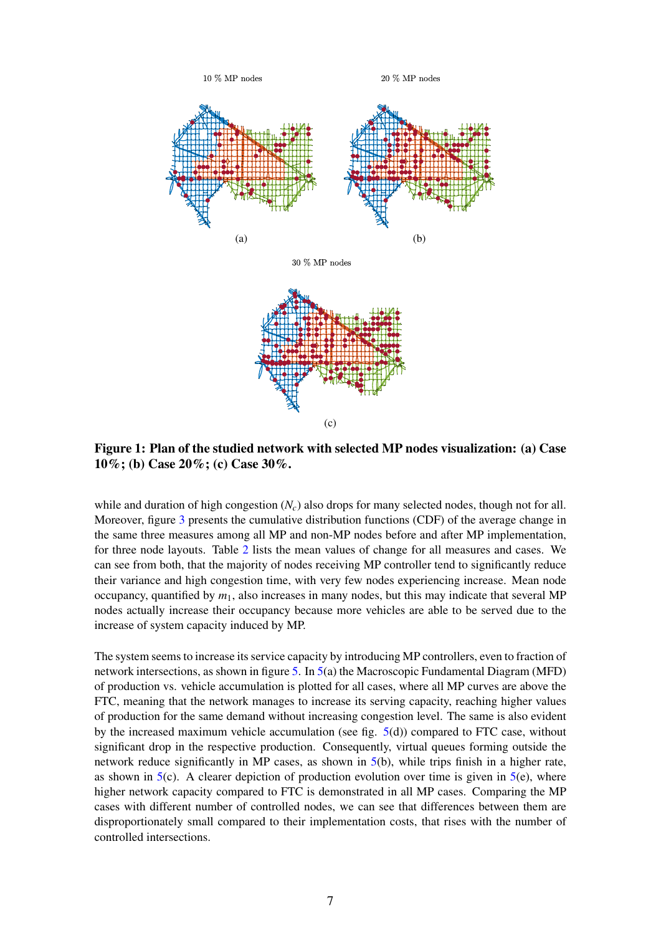<span id="page-6-0"></span>

Figure 1: Plan of the studied network with selected MP nodes visualization: (a) Case 10%; (b) Case 20%; (c) Case 30%.

while and duration of high congestion (*Nc*) also drops for many selected nodes, though not for all. Moreover, figure [3](#page-7-1) presents the cumulative distribution functions (CDF) of the average change in the same three measures among all MP and non-MP nodes before and after MP implementation, for three node layouts. Table [2](#page-9-0) lists the mean values of change for all measures and cases. We can see from both, that the majority of nodes receiving MP controller tend to significantly reduce their variance and high congestion time, with very few nodes experiencing increase. Mean node occupancy, quantified by  $m_1$ , also increases in many nodes, but this may indicate that several MP nodes actually increase their occupancy because more vehicles are able to be served due to the increase of system capacity induced by MP.

The system seems to increase its service capacity by introducing MP controllers, even to fraction of network intersections, as shown in figure [5.](#page-10-0) In [5\(](#page-10-0)a) the Macroscopic Fundamental Diagram (MFD) of production vs. vehicle accumulation is plotted for all cases, where all MP curves are above the FTC, meaning that the network manages to increase its serving capacity, reaching higher values of production for the same demand without increasing congestion level. The same is also evident by the increased maximum vehicle accumulation (see fig. [5\(](#page-10-0)d)) compared to FTC case, without significant drop in the respective production. Consequently, virtual queues forming outside the network reduce significantly in MP cases, as shown in [5\(](#page-10-0)b), while trips finish in a higher rate, as shown in  $5(c)$  $5(c)$ . A clearer depiction of production evolution over time is given in  $5(e)$ , where higher network capacity compared to FTC is demonstrated in all MP cases. Comparing the MP cases with different number of controlled nodes, we can see that differences between them are disproportionately small compared to their implementation costs, that rises with the number of controlled intersections.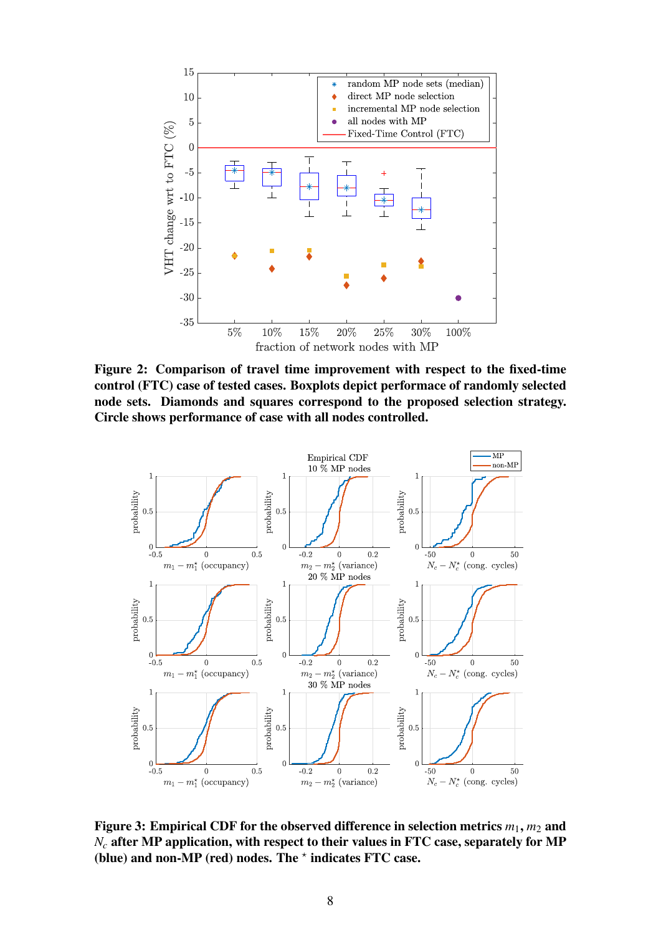<span id="page-7-0"></span>

Figure 2: Comparison of travel time improvement with respect to the fixed-time control (FTC) case of tested cases. Boxplots depict performace of randomly selected node sets. Diamonds and squares correspond to the proposed selection strategy. Circle shows performance of case with all nodes controlled.

<span id="page-7-1"></span>

Figure 3: Empirical CDF for the observed difference in selection metrics  $m_1$ ,  $m_2$  and *N<sub>c</sub>* after MP application, with respect to their values in FTC case, separately for MP (blue) and non-MP (red) nodes. The  $*$  indicates FTC case.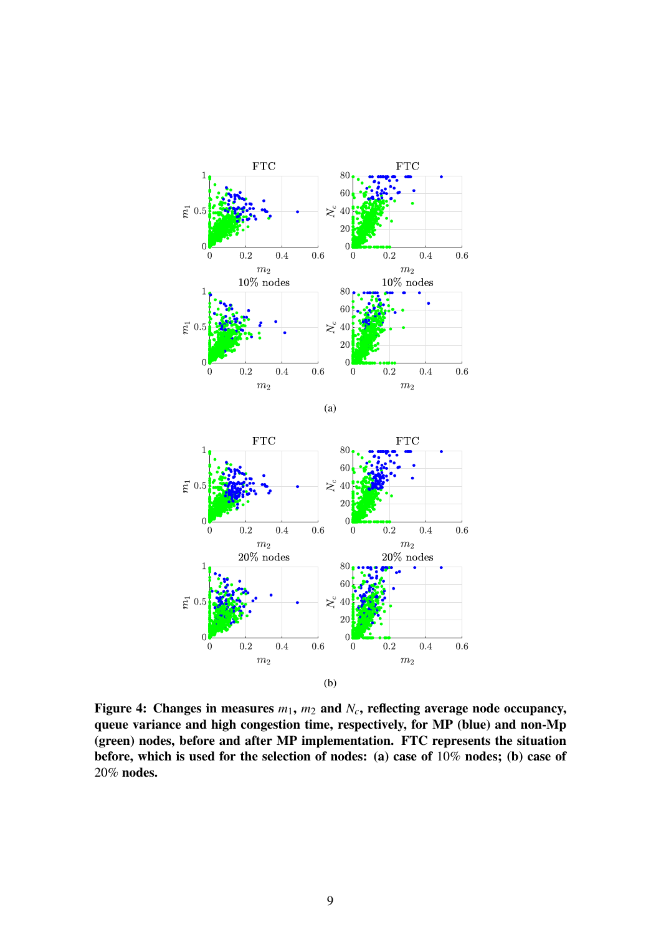<span id="page-8-0"></span>





Figure 4: Changes in measures  $m_1$ ,  $m_2$  and  $N_c$ , reflecting average node occupancy, queue variance and high congestion time, respectively, for MP (blue) and non-Mp (green) nodes, before and after MP implementation. FTC represents the situation before, which is used for the selection of nodes: (a) case of 10% nodes; (b) case of 20% nodes.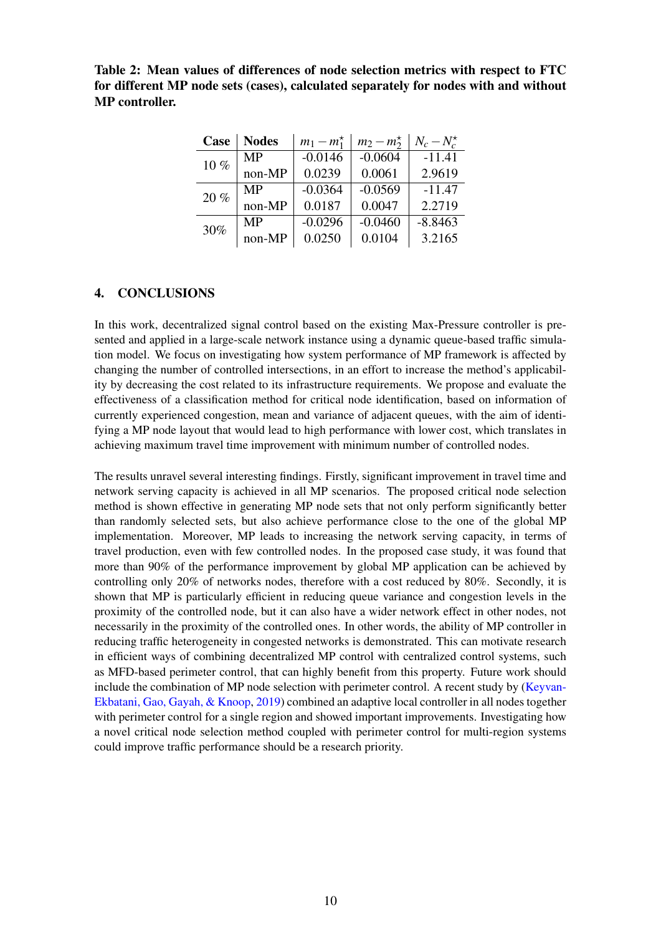<span id="page-9-0"></span>Table 2: Mean values of differences of node selection metrics with respect to FTC for different MP node sets (cases), calculated separately for nodes with and without MP controller.

| Case | <b>Nodes</b> | $m_1 - m_1^*$ | $m_2 - m_2^*$ | $N_c-N_c^{\star}$ |
|------|--------------|---------------|---------------|-------------------|
| 10%  | <b>MP</b>    | $-0.0146$     | $-0.0604$     | $-11.41$          |
|      | non-MP       | 0.0239        | 0.0061        | 2.9619            |
| 20%  | <b>MP</b>    | $-0.0364$     | $-0.0569$     | $-11.47$          |
|      | non-MP       | 0.0187        | 0.0047        | 2.2719            |
| 30%  | <b>MP</b>    | $-0.0296$     | $-0.0460$     | $-8.8463$         |
|      | non-MP       | 0.0250        | 0.0104        | 3.2165            |

## 4. CONCLUSIONS

In this work, decentralized signal control based on the existing Max-Pressure controller is presented and applied in a large-scale network instance using a dynamic queue-based traffic simulation model. We focus on investigating how system performance of MP framework is affected by changing the number of controlled intersections, in an effort to increase the method's applicability by decreasing the cost related to its infrastructure requirements. We propose and evaluate the effectiveness of a classification method for critical node identification, based on information of currently experienced congestion, mean and variance of adjacent queues, with the aim of identifying a MP node layout that would lead to high performance with lower cost, which translates in achieving maximum travel time improvement with minimum number of controlled nodes.

The results unravel several interesting findings. Firstly, significant improvement in travel time and network serving capacity is achieved in all MP scenarios. The proposed critical node selection method is shown effective in generating MP node sets that not only perform significantly better than randomly selected sets, but also achieve performance close to the one of the global MP implementation. Moreover, MP leads to increasing the network serving capacity, in terms of travel production, even with few controlled nodes. In the proposed case study, it was found that more than 90% of the performance improvement by global MP application can be achieved by controlling only 20% of networks nodes, therefore with a cost reduced by 80%. Secondly, it is shown that MP is particularly efficient in reducing queue variance and congestion levels in the proximity of the controlled node, but it can also have a wider network effect in other nodes, not necessarily in the proximity of the controlled ones. In other words, the ability of MP controller in reducing traffic heterogeneity in congested networks is demonstrated. This can motivate research in efficient ways of combining decentralized MP control with centralized control systems, such as MFD-based perimeter control, that can highly benefit from this property. Future work should include the combination of MP node selection with perimeter control. A recent study by [\(Keyvan-](#page-11-14)[Ekbatani, Gao, Gayah, & Knoop,](#page-11-14) [2019\)](#page-11-14) combined an adaptive local controller in all nodes together with perimeter control for a single region and showed important improvements. Investigating how a novel critical node selection method coupled with perimeter control for multi-region systems could improve traffic performance should be a research priority.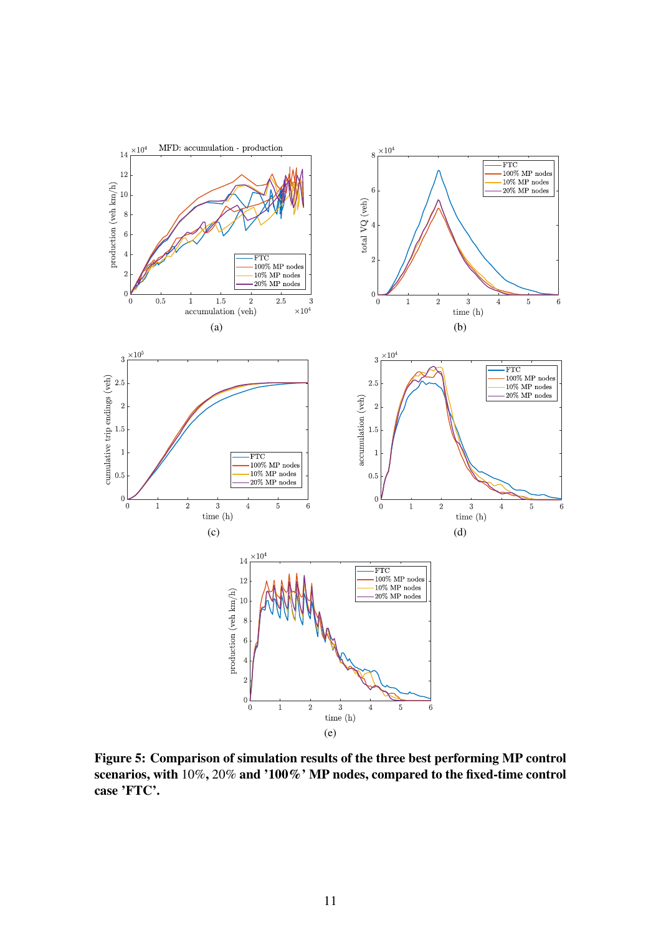<span id="page-10-0"></span>

Figure 5: Comparison of simulation results of the three best performing MP control scenarios, with 10%, 20% and '100%' MP nodes, compared to the fixed-time control case 'FTC'.